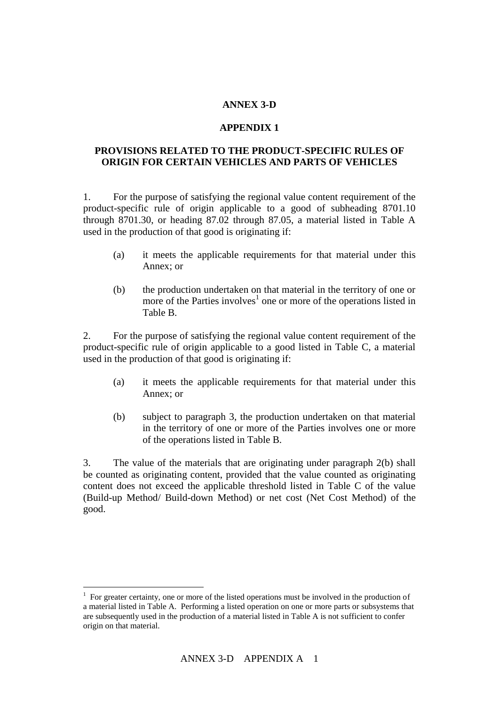## **ANNEX 3-D**

#### **APPENDIX 1**

#### **PROVISIONS RELATED TO THE PRODUCT-SPECIFIC RULES OF ORIGIN FOR CERTAIN VEHICLES AND PARTS OF VEHICLES**

1. For the purpose of satisfying the regional value content requirement of the product-specific rule of origin applicable to a good of subheading 8701.10 through 8701.30, or heading 87.02 through 87.05, a material listed in Table A used in the production of that good is originating if:

- (a) it meets the applicable requirements for that material under this Annex; or
- (b) the production undertaken on that material in the territory of one or more of the Parties involves<sup>1</sup> one or more of the operations listed in Table B.

2. For the purpose of satisfying the regional value content requirement of the product-specific rule of origin applicable to a good listed in Table C, a material used in the production of that good is originating if:

- (a) it meets the applicable requirements for that material under this Annex; or
- (b) subject to paragraph 3, the production undertaken on that material in the territory of one or more of the Parties involves one or more of the operations listed in Table B.

3. The value of the materials that are originating under paragraph 2(b) shall be counted as originating content, provided that the value counted as originating content does not exceed the applicable threshold listed in Table C of the value (Build-up Method/ Build-down Method) or net cost (Net Cost Method) of the good.

 $\overline{a}$ 

<sup>1</sup> For greater certainty, one or more of the listed operations must be involved in the production of a material listed in Table A. Performing a listed operation on one or more parts or subsystems that are subsequently used in the production of a material listed in Table A is not sufficient to confer origin on that material.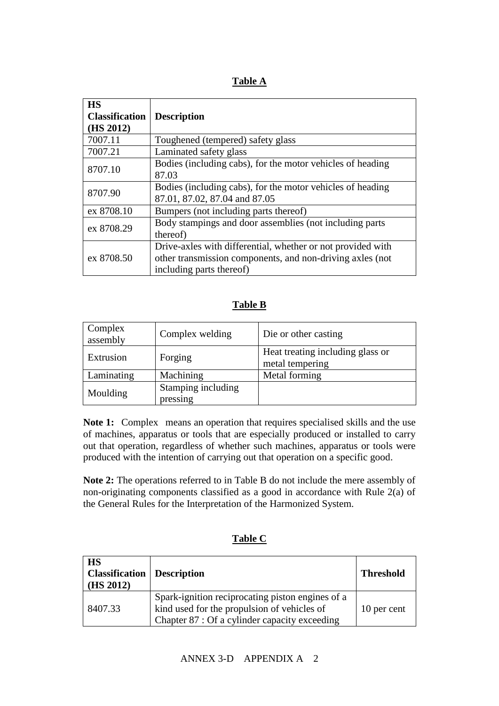**Table A**

| <b>HS</b><br><b>Classification</b><br>(HS 2012) | <b>Description</b>                                                                                                                                   |
|-------------------------------------------------|------------------------------------------------------------------------------------------------------------------------------------------------------|
| 7007.11                                         | Toughened (tempered) safety glass                                                                                                                    |
| 7007.21                                         | Laminated safety glass                                                                                                                               |
| 8707.10                                         | Bodies (including cabs), for the motor vehicles of heading<br>87.03                                                                                  |
| 8707.90                                         | Bodies (including cabs), for the motor vehicles of heading<br>87.01, 87.02, 87.04 and 87.05                                                          |
| ex 8708.10                                      | Bumpers (not including parts thereof)                                                                                                                |
| ex 8708.29                                      | Body stampings and door assemblies (not including parts<br>thereof)                                                                                  |
| ex 8708.50                                      | Drive-axles with differential, whether or not provided with<br>other transmission components, and non-driving axles (not<br>including parts thereof) |

# **Table B**

| Complex<br>assembly | Complex welding                | Die or other casting                                |  |
|---------------------|--------------------------------|-----------------------------------------------------|--|
| Extrusion           | Forging                        | Heat treating including glass or<br>metal tempering |  |
| Laminating          | Machining                      | Metal forming                                       |  |
| Moulding            | Stamping including<br>pressing |                                                     |  |

**Note 1:** Complex means an operation that requires specialised skills and the use of machines, apparatus or tools that are especially produced or installed to carry out that operation, regardless of whether such machines, apparatus or tools were produced with the intention of carrying out that operation on a specific good.

**Note 2:** The operations referred to in Table B do not include the mere assembly of non-originating components classified as a good in accordance with Rule 2(a) of the General Rules for the Interpretation of the Harmonized System.

| <b>HS</b><br><b>Classification</b>   Description<br>(HS 2012) |                                                                                                                                                  | <b>Threshold</b> |
|---------------------------------------------------------------|--------------------------------------------------------------------------------------------------------------------------------------------------|------------------|
| 8407.33                                                       | Spark-ignition reciprocating piston engines of a<br>kind used for the propulsion of vehicles of<br>Chapter 87 : Of a cylinder capacity exceeding | 10 per cent      |

### **Table C**